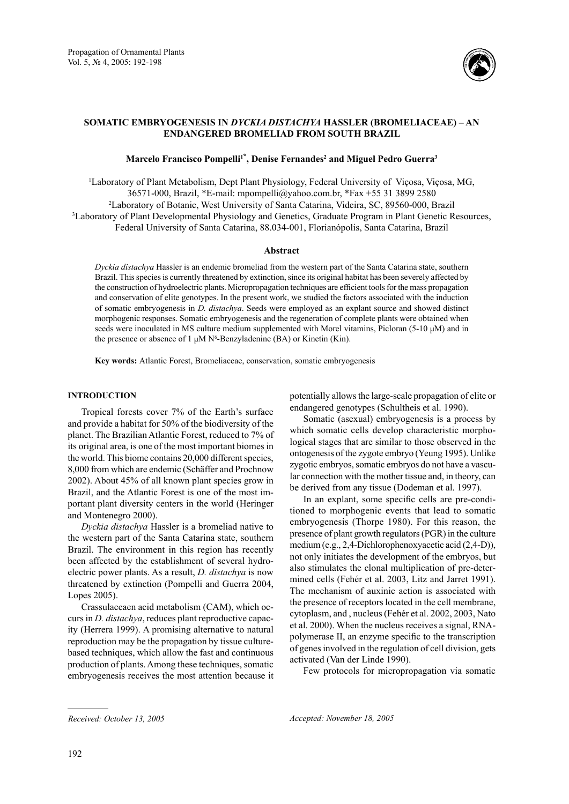

# **SOMATIC EMBRYOGENESIS IN** *DYCKIA DISTACHYA* **HASSLER (BROMELIACEAE) – AN ENDANGERED BROMELIAD FROM SOUTH BRAZIL**

# **Marcelo Francisco Pompelli1\* , Denise Fernandes2 and Miguel Pedro Guerra3**

1 Laboratory of Plant Metabolism, Dept Plant Physiology, Federal University of Viçosa, Viçosa, MG, 36571-000, Brazil, \*E-mail: mpompelli@yahoo.com.br, \*Fax +55 31 3899 2580 2 Laboratory of Botanic, West University of Santa Catarina, Videira, SC, 89560-000, Brazil 3 Laboratory of Plant Developmental Physiology and Genetics, Graduate Program in Plant Genetic Resources, Federal University of Santa Catarina, 88.034-001, Florianópolis, Santa Catarina, Brazil

## **Abstract**

*Dyckia distachya* Hassler is an endemic bromeliad from the western part of the Santa Catarina state, southern Brazil. This species is currently threatened by extinction, since its original habitat has been severely affected by the construction of hydroelectric plants. Micropropagation techniques are efficient tools for the mass propagation and conservation of elite genotypes. In the present work, we studied the factors associated with the induction of somatic embryogenesis in *D. distachya*. Seeds were employed as an explant source and showed distinct morphogenic responses. Somatic embryogenesis and the regeneration of complete plants were obtained when seeds were inoculated in MS culture medium supplemented with Morel vitamins, Picloran (5-10  $\mu$ M) and in the presence or absence of 1  $\mu$ M N<sup>6</sup>-Benzyladenine (BA) or Kinetin (Kin).

**Key words:** Atlantic Forest, Bromeliaceae, conservation, somatic embryogenesis

# **INTRODUCTION**

Tropical forests cover 7% of the Earth's surface and provide a habitat for 50% of the biodiversity of the planet. The Brazilian Atlantic Forest, reduced to 7% of its original area, is one of the most important biomes in the world. This biome contains 20,000 different species, 8,000 from which are endemic (Schäffer and Prochnow 2002). About 45% of all known plant species grow in Brazil, and the Atlantic Forest is one of the most important plant diversity centers in the world (Heringer and Montenegro 2000).

*Dyckia distachya* Hassler is a bromeliad native to the western part of the Santa Catarina state, southern Brazil. The environment in this region has recently been affected by the establishment of several hydroelectric power plants. As a result, *D. distachya* is now threatened by extinction (Pompelli and Guerra 2004, Lopes 2005).

Crassulaceaen acid metabolism (CAM), which occurs in *D. distachya*, reduces plant reproductive capacity (Herrera 1999). A promising alternative to natural reproduction may be the propagation by tissue culturebased techniques, which allow the fast and continuous production of plants. Among these techniques, somatic embryogenesis receives the most attention because it potentially allows the large-scale propagation of elite or endangered genotypes (Schultheis et al. 1990).

Somatic (asexual) embryogenesis is a process by which somatic cells develop characteristic morphological stages that are similar to those observed in the ontogenesis of the zygote embryo (Yeung 1995). Unlike zygotic embryos, somatic embryos do not have a vascular connection with the mother tissue and, in theory, can be derived from any tissue (Dodeman et al. 1997).

In an explant, some specific cells are pre-conditioned to morphogenic events that lead to somatic embryogenesis (Thorpe 1980). For this reason, the presence of plant growth regulators (PGR) in the culture medium (e.g., 2,4-Dichlorophenoxyacetic acid (2,4-D)), not only initiates the development of the embryos, but also stimulates the clonal multiplication of pre-determined cells (Fehér et al. 2003, Litz and Jarret 1991). The mechanism of auxinic action is associated with the presence of receptors located in the cell membrane, cytoplasm, and , nucleus (Fehér et al. 2002, 2003, Nato et al. 2000). When the nucleus receives a signal, RNApolymerase II, an enzyme specific to the transcription of genes involved in the regulation of cell division, gets activated (Van der Linde 1990).

Few protocols for micropropagation via somatic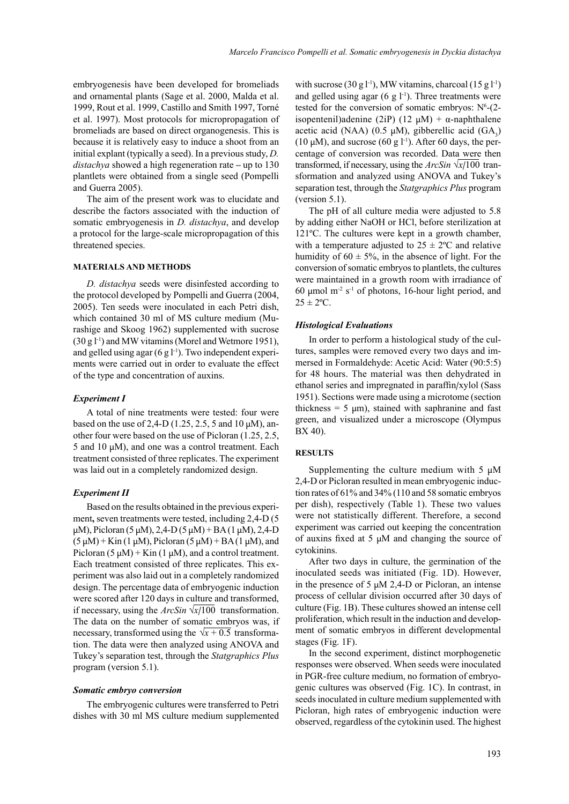embryogenesis have been developed for bromeliads and ornamental plants (Sage et al. 2000, Malda et al. 1999, Rout et al. 1999, Castillo and Smith 1997, Torné et al. 1997). Most protocols for micropropagation of bromeliads are based on direct organogenesis. This is because it is relatively easy to induce a shoot from an initial explant (typically a seed). In a previous study, *D. distachya* showed a high regeneration rate **–** up to 130 plantlets were obtained from a single seed (Pompelli and Guerra 2005).

The aim of the present work was to elucidate and describe the factors associated with the induction of somatic embryogenesis in *D. distachya*, and develop a protocol for the large-scale micropropagation of this threatened species.

## **MATERIALS AND METHODS**

*D. distachya* seeds were disinfested according to the protocol developed by Pompelli and Guerra (2004, 2005). Ten seeds were inoculated in each Petri dish, which contained 30 ml of MS culture medium (Murashige and Skoog 1962) supplemented with sucrose  $(30 \text{ g } l^{-1})$  and MW vitamins (Morel and Wetmore 1951), and gelled using agar  $(6 \text{ g } 1^{-1})$ . Two independent experiments were carried out in order to evaluate the effect of the type and concentration of auxins.

### *Experiment I*

A total of nine treatments were tested: four were based on the use of 2,4-D (1.25, 2.5, 5 and 10  $\mu$ M), another four were based on the use of Picloran (1.25, 2.5, 5 and 10  $\mu$ M), and one was a control treatment. Each treatment consisted of three replicates. The experiment was laid out in a completely randomized design.

### *Experiment II*

Based on the results obtained in the previous experiment, seven treatments were tested, including 2,4-D (5)  $\mu$ M), Picloran (5  $\mu$ M), 2,4-D (5  $\mu$ M) + BA (1  $\mu$ M), 2,4-D  $(5 \mu M)$  + Kin (1  $\mu$ M), Picloran (5  $\mu$ M) + BA (1  $\mu$ M), and Picloran  $(5 \mu M)$  + Kin  $(1 \mu M)$ , and a control treatment. Each treatment consisted of three replicates. This experiment was also laid out in a completely randomized design. The percentage data of embryogenic induction were scored after 120 days in culture and transformed, if necessary, using the  $ArcSin \sqrt{x}/100$  transformation. The data on the number of somatic embryos was, if necessary, transformed using the  $\sqrt{x}$  + 0.5 transformation. The data were then analyzed using ANOVA and Tukey's separation test, through the *Statgraphics Plus*  program (version 5.1).

#### *Somatic embryo conversion*

The embryogenic cultures were transferred to Petri dishes with 30 ml MS culture medium supplemented

with sucrose (30 g l<sup>-1</sup>), MW vitamins, charcoal (15 g l<sup>-1</sup>) and gelled using agar (6 g  $l^{-1}$ ). Three treatments were tested for the conversion of somatic embryos:  $N^6$ - $(2$ isopentenil)adenine (2iP) (12 μM) + α-naphthalene acetic acid (NAA) (0.5  $\mu$ M), gibberellic acid (GA<sub>3</sub>) (10  $\mu$ M), and sucrose (60 g l<sup>-1</sup>). After 60 days, the percentage of conversion was recorded. Data were then transformed, if necessary, using the ArcSin √x/100 transformation and analyzed using ANOVA and Tukey's separation test, through the *Statgraphics Plus* program (version 5.1).

The pH of all culture media were adjusted to 5.8 by adding either NaOH or HCl, before sterilization at 121ºC. The cultures were kept in a growth chamber, with a temperature adjusted to  $25 \pm 2$ °C and relative humidity of  $60 \pm 5\%$ , in the absence of light. For the conversion of somatic embryos to plantlets, the cultures were maintained in a growth room with irradiance of 60  $\mu$ mol m<sup>-2</sup> s<sup>-1</sup> of photons, 16-hour light period, and  $25 \pm 2$ <sup>o</sup>C.

#### *Histological Evaluations*

In order to perform a histological study of the cultures, samples were removed every two days and immersed in Formaldehyde: Acetic Acid: Water (90:5:5) for 48 hours. The material was then dehydrated in ethanol series and impregnated in paraffin/xylol (Sass 1951). Sections were made using a microtome (section thickness =  $5 \mu m$ ), stained with saphranine and fast green, and visualized under a microscope (Olympus BX 40).

### **RESULTS**

Supplementing the culture medium with 5  $\mu$ M 2,4-D or Picloran resulted in mean embryogenic induction rates of 61% and 34% (110 and 58 somatic embryos per dish), respectively (Table 1). These two values were not statistically different. Therefore, a second experiment was carried out keeping the concentration of auxins fixed at  $5 \mu M$  and changing the source of cytokinins.

After two days in culture, the germination of the inoculated seeds was initiated (Fig. 1D). However, in the presence of 5  $\mu$ M 2,4-D or Picloran, an intense process of cellular division occurred after 30 days of culture (Fig. 1B). These cultures showed an intense cell proliferation, which result in the induction and development of somatic embryos in different developmental stages (Fig. 1F).

In the second experiment, distinct morphogenetic responses were observed. When seeds were inoculated in PGR-free culture medium, no formation of embryogenic cultures was observed (Fig. 1C). In contrast, in seeds inoculated in culture medium supplemented with Picloran, high rates of embryogenic induction were observed, regardless of the cytokinin used. The highest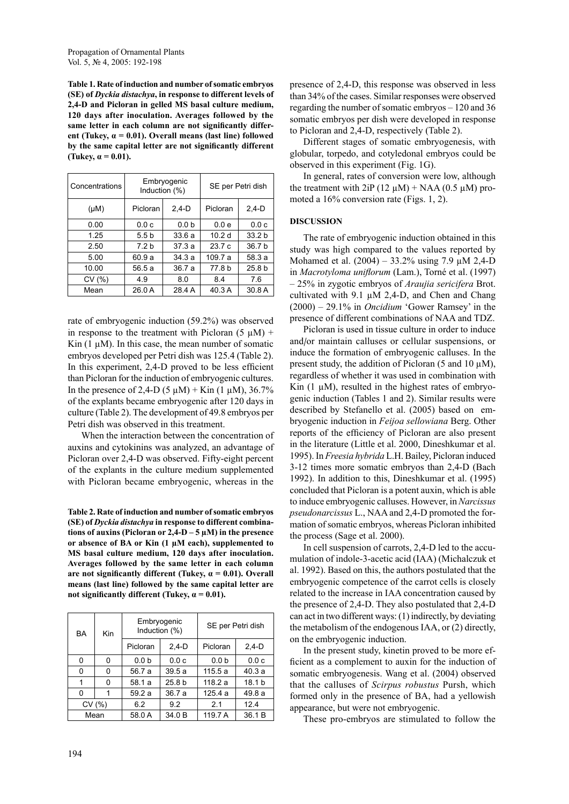**Table 1. Rate of induction and number of somatic embryos (SE) of** *Dyckia distachya***, in response to different levels of 2,4-D and Picloran in gelled MS basal culture medium, 120 days after inoculation. Averages followed by the same letter in each column are not significantly different (Tukey, α = 0.01). Overall means (last line) followed by the same capital letter are not significantly different (Tukey,**  $\alpha = 0.01$ **).** 

| Concentrations | Embryogenic<br>Induction (%) |                  | SE per Petri dish |                   |
|----------------|------------------------------|------------------|-------------------|-------------------|
| $(\mu M)$      | Picloran                     | $2,4-D$          | Picloran          | $2,4-D$           |
| 0.00           | 0.0c                         | 0.0 <sub>b</sub> | 0.0e              | 0.0c              |
| 1.25           | 5.5 <sub>b</sub>             | 33.6a            | 10.2 <sub>d</sub> | 33.2 <sub>b</sub> |
| 2.50           | 7.2 <sub>b</sub>             | 37.3a            | 23.7c             | 36.7 <sub>b</sub> |
| 5.00           | 60.9 a                       | 34.3a            | 109.7 a           | 58.3 a            |
| 10.00          | 56.5a                        | 36.7a            | 77.8 b            | 25.8 <sub>b</sub> |
| CV(%)          | 4.9                          | 8.0              | 8.4               | 7.6               |
| Mean           | 26.0 A                       | 28.4 A           | 40.3 A            | 30.8 A            |

rate of embryogenic induction (59.2%) was observed in response to the treatment with Picloran  $(5 \mu M)$  + Kin  $(1 \mu M)$ . In this case, the mean number of somatic embryos developed per Petri dish was 125.4 (Table 2). In this experiment, 2,4-D proved to be less efficient than Picloran for the induction of embryogenic cultures. In the presence of 2,4-D (5  $\mu$ M) + Kin (1  $\mu$ M), 36.7% of the explants became embryogenic after 120 days in culture (Table 2). The development of 49.8 embryos per Petri dish was observed in this treatment.

When the interaction between the concentration of auxins and cytokinins was analyzed, an advantage of Picloran over 2,4-D was observed. Fifty-eight percent of the explants in the culture medium supplemented with Picloran became embryogenic, whereas in the

**Table 2. Rate of induction and number of somatic embryos (SE) of** *Dyckia distachya* **in response to different combinations of auxins (Picloran or 2,4-D – 5 µM) in the presence or absence of BA or Kin (1 µM each), supplemented to MS basal culture medium, 120 days after inoculation. Averages followed by the same letter in each column are not significantly different (Tukey, α = 0.01). Overall means (last line) followed by the same capital letter are**  not significantly different (Tukey,  $\alpha = 0.01$ ).

| BA    | Kin | Embryogenic<br>Induction (%) |                   | SE per Petri dish |                   |
|-------|-----|------------------------------|-------------------|-------------------|-------------------|
|       |     | Picloran                     | $2,4-D$           | Picloran          | $2,4-D$           |
| 0     | 0   | 0.0 <sub>b</sub>             | 0.0c              | 0.0 <sub>b</sub>  | 0.0c              |
| 0     | 0   | 56.7 a                       | 39.5a             | 115.5a            | 40.3a             |
| 1     | 0   | 58.1 a                       | 25.8 <sub>b</sub> | 118.2 a           | 18.1 <sub>b</sub> |
| 0     |     | 59.2 a                       | 36.7 a            | 125.4 a           | 49.8 a            |
| CV(%) |     | 6.2                          | 9.2               | 2.1               | 12.4              |
| Mean  |     | 58.0 A                       | 34.0 B            | 119.7 A           | 36.1 B            |

presence of 2,4-D, this response was observed in less than 34% of the cases. Similar responses were observed regarding the number of somatic embryos – 120 and 36 somatic embryos per dish were developed in response to Picloran and 2,4-D, respectively (Table 2).

Different stages of somatic embryogenesis, with globular, torpedo, and cotyledonal embryos could be observed in this experiment (Fig. 1G).

In general, rates of conversion were low, although the treatment with  $2iP (12 \mu M) + NAA (0.5 \mu M)$  promoted a 16% conversion rate (Figs. 1, 2).

# **DISCUSSION**

The rate of embryogenic induction obtained in this study was high compared to the values reported by Mohamed et al. (2004) – 33.2% using 7.9 µM 2,4-D in *Macrotyloma uniflorum* (Lam.), Torné et al. (1997) – 25% in zygotic embryos of *Araujia sericifera* Brot. cultivated with 9.1  $\mu$ M 2,4-D, and Chen and Chang (2000) – 29.1% in *Oncidium* 'Gower Ramsey' in the presence of different combinations of NAA and TDZ.

Picloran is used in tissue culture in order to induce and/or maintain calluses or cellular suspensions, or induce the formation of embryogenic calluses. In the present study, the addition of Picloran (5 and 10  $\mu$ M), regardless of whether it was used in combination with Kin  $(1 \mu M)$ , resulted in the highest rates of embryogenic induction (Tables 1 and 2). Similar results were described by Stefanello et al. (2005) based on embryogenic induction in *Feijoa sellowiana* Berg. Other reports of the efficiency of Picloran are also present in the literature (Little et al. 2000, Dineshkumar et al. 1995). In *Freesia hybrida* L.H. Bailey, Picloran induced 3-12 times more somatic embryos than 2,4-D (Bach 1992). In addition to this, Dineshkumar et al. (1995) concluded that Picloran is a potent auxin, which is able to induce embryogenic calluses. However, in *Narcissus pseudonarcissus* L., NAA and 2,4-D promoted the formation of somatic embryos, whereas Picloran inhibited the process (Sage et al. 2000).

In cell suspension of carrots, 2,4-D led to the accumulation of indole-3-acetic acid (IAA) (Michalczuk et al. 1992). Based on this, the authors postulated that the embryogenic competence of the carrot cells is closely related to the increase in IAA concentration caused by the presence of 2,4-D. They also postulated that 2,4-D can act in two different ways: (1) indirectly, by deviating the metabolism of the endogenous IAA, or (2) directly, on the embryogenic induction.

In the present study, kinetin proved to be more efficient as a complement to auxin for the induction of somatic embryogenesis. Wang et al. (2004) observed that the calluses of *Scirpus robustus* Pursh, which formed only in the presence of BA, had a yellowish appearance, but were not embryogenic.

These pro-embryos are stimulated to follow the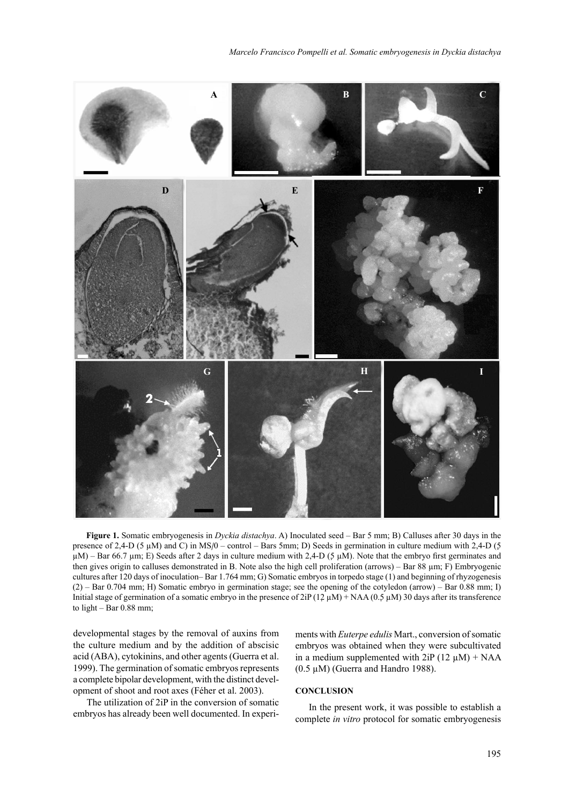

**Figure 1.** Somatic embryogenesis in *Dyckia distachya*. A) Inoculated seed – Bar 5 mm; B) Calluses after 30 days in the presence of 2,4-D (5 µM) and C) in MS/0 – control – Bars 5mm; D) Seeds in germination in culture medium with 2,4-D (5  $\mu$ M) – Bar 66.7  $\mu$ m; E) Seeds after 2 days in culture medium with 2,4-D (5  $\mu$ M). Note that the embryo first germinates and then gives origin to calluses demonstrated in B. Note also the high cell proliferation (arrows) – Bar 88 µm; F) Embryogenic cultures after 120 days of inoculation– Bar 1.764 mm; G) Somatic embryos in torpedo stage (1) and beginning of rhyzogenesis (2) – Bar 0.704 mm; H) Somatic embryo in germination stage; see the opening of the cotyledon (arrow) – Bar 0.88 mm; I) Initial stage of germination of a somatic embryo in the presence of  $2iP (12 \mu M) + NAA (0.5 \mu M)$  30 days after its transference to light – Bar 0.88 mm;

developmental stages by the removal of auxins from the culture medium and by the addition of abscisic acid (ABA), cytokinins, and other agents (Guerra et al. 1999). The germination of somatic embryos represents a complete bipolar development, with the distinct development of shoot and root axes (Féher et al. 2003).

The utilization of 2iP in the conversion of somatic embryos has already been well documented. In experiments with *Euterpe edulis* Mart., conversion of somatic embryos was obtained when they were subcultivated in a medium supplemented with  $2iP (12 \mu M) + NAA$ (0.5 µM) (Guerra and Handro 1988).

# **CONCLUSION**

In the present work, it was possible to establish a complete *in vitro* protocol for somatic embryogenesis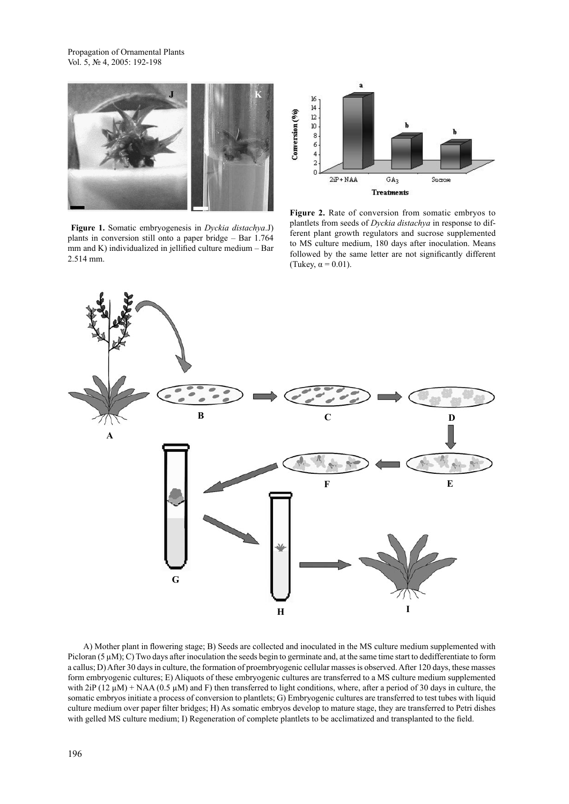Propagation of Ornamental Plants Vol. 5, № 4, 2005: 192-198



**Figure 1.** Somatic embryogenesis in *Dyckia distachya*.J) plants in conversion still onto a paper bridge – Bar 1.764 mm and K) individualized in jellified culture medium – Bar 2.514 mm.



Figure 2. Rate of conversion from somatic embryos to plantlets from seeds of *Dyckia distachya* in response to different plant growth regulators and sucrose supplemented to MS culture medium, 180 days after inoculation. Means followed by the same letter are not significantly different (Tukey,  $\alpha$  = 0.01).



A) Mother plant in flowering stage; B) Seeds are collected and inoculated in the MS culture medium supplemented with Picloran  $(5 \mu M)$ ; C) Two days after inoculation the seeds begin to germinate and, at the same time start to dedifferentiate to form a callus; D) After 30 days in culture, the formation of proembryogenic cellular masses is observed. After 120 days, these masses form embryogenic cultures; E) Aliquots of these embryogenic cultures are transferred to a MS culture medium supplemented with  $2iP (12 \mu M) + NAA (0.5 \mu M)$  and F) then transferred to light conditions, where, after a period of 30 days in culture, the somatic embryos initiate a process of conversion to plantlets; G) Embryogenic cultures are transferred to test tubes with liquid culture medium over paper filter bridges; H) As somatic embryos develop to mature stage, they are transferred to Petri dishes with gelled MS culture medium; I) Regeneration of complete plantlets to be acclimatized and transplanted to the field.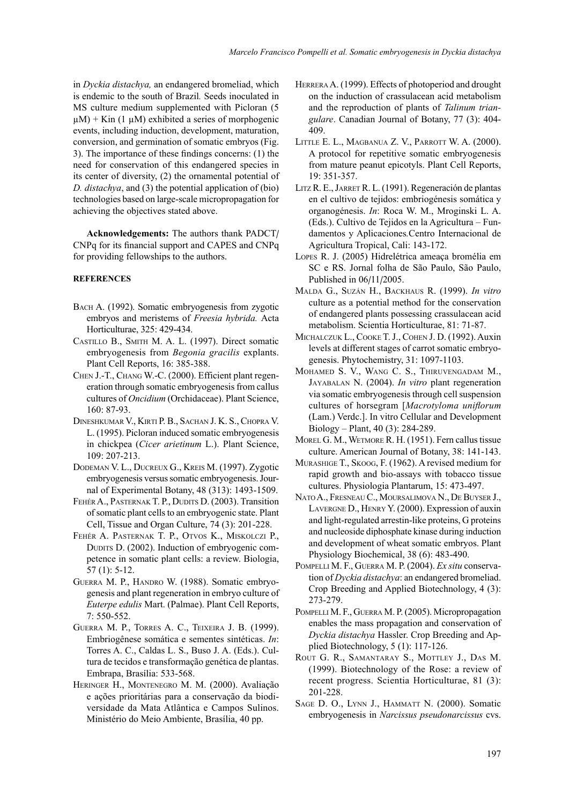in *Dyckia distachya,* an endangered bromeliad, which is endemic to the south of Brazil*.* Seeds inoculated in MS culture medium supplemented with Picloran (5  $\mu$ M) + Kin (1  $\mu$ M) exhibited a series of morphogenic events, including induction, development, maturation, conversion, and germination of somatic embryos (Fig. 3). The importance of these findings concerns: (1) the need for conservation of this endangered species in its center of diversity, (2) the ornamental potential of *D. distachya*, and (3) the potential application of (bio) technologies based on large-scale micropropagation for achieving the objectives stated above.

**Acknowledgements:** The authors thank PADCT/ CNPq for its financial support and CAPES and CNPq for providing fellowships to the authors.

# **REFERENCES**

- BACH A. (1992). Somatic embryogenesis from zygotic embryos and meristems of *Freesia hybrida.* Acta Horticulturae, 325: 429-434.
- CASTILLO B., SMITH M. A. L. (1997). Direct somatic embryogenesis from *Begonia gracilis* explants. Plant Cell Reports, 16: 385-388.
- CHEN J.-T., CHANG W.-C. (2000). Efficient plant regeneration through somatic embryogenesis from callus cultures of *Oncidium* (Orchidaceae). Plant Science, 160: 87-93.
- DINESHKUMAR V., KIRTI P. B., SACHAN J. K. S., CHOPRA V. L. (1995). Picloran induced somatic embryogenesis in chickpea (*Cicer arietinum* L.). Plant Science, 109: 207-213.
- DODEMAN V. L., DUCREUX G., KREIS M. (1997). Zygotic embryogenesis versus somatic embryogenesis. Journal of Experimental Botany, 48 (313): 1493-1509.
- FEHÉR A., PASTERNAK T. P., DUDITS D. (2003). Transition of somatic plant cells to an embryogenic state. Plant Cell, Tissue and Organ Culture, 74 (3): 201-228.
- FEHÉR A. PASTERNAK T. P., OTVOS K., MISKOLCZI P., DUDITS D. (2002). Induction of embryogenic competence in somatic plant cells: a review. Biologia, 57 (1): 5-12.
- GUERRA M. P., HANDRO W. (1988). Somatic embryogenesis and plant regeneration in embryo culture of *Euterpe edulis* Mart. (Palmae). Plant Cell Reports, 7: 550-552.
- GUERRA M. P., TORRES A. C., TEIXEIRA J. B. (1999). Embriogênese somática e sementes sintéticas. *In*: Torres A. C., Caldas L. S., Buso J. A. (Eds.). Cultura de tecidos e transformação genética de plantas. Embrapa, Brasília: 533-568.
- HERINGER H., MONTENEGRO M. M. (2000). Avaliação e ações prioritárias para a conservação da biodiversidade da Mata Atlântica e Campos Sulinos. Ministério do Meio Ambiente, Brasília, 40 pp.
- HERRERA A. (1999). Effects of photoperiod and drought on the induction of crassulacean acid metabolism and the reproduction of plants of *Talinum triangulare*. Canadian Journal of Botany, 77 (3): 404- 409.
- LITTLE E. L., MAGBANUA Z. V., PARROTT W. A. (2000). A protocol for repetitive somatic embryogenesis from mature peanut epicotyls. Plant Cell Reports, 19: 351-357.
- LITZ R. E., JARRET R. L. (1991). Regeneración de plantas en el cultivo de tejidos: embriogénesis somática y organogénesis. *In*: Roca W. M., Mroginski L. A. (Eds.). Cultivo de Tejidos en la Agricultura – Fundamentos y Aplicaciones*.*Centro Internacional de Agricultura Tropical, Cali: 143-172.
- LOPES R. J. (2005) Hidrelétrica ameaça bromélia em SC e RS. Jornal folha de São Paulo, São Paulo, Published in 06/11/2005.
- MALDA G., SUZÁN H., BACKHAUS R. (1999). *In vitro* culture as a potential method for the conservation of endangered plants possessing crassulacean acid metabolism. Scientia Horticulturae, 81: 71-87.
- MICHALCZUK L., COOKE T. J., COHEN J. D. (1992). Auxin levels at different stages of carrot somatic embryogenesis. Phytochemistry, 31: 1097-1103.
- MOHAMED S. V., WANG C. S., THIRUVENGADAM M., JAYABALAN N. (2004). *In vitro* plant regeneration via somatic embryogenesis through cell suspension cultures of horsegram [*Macrotyloma uniflorum* (Lam.) Verdc.]. In vitro Cellular and Development Biology – Plant, 40 (3): 284-289.
- MOREL G. M., WETMORE R. H. (1951). Fern callus tissue culture. American Journal of Botany, 38: 141-143.
- MURASHIGE T., SKOOG, F. (1962). A revised medium for rapid growth and bio-assays with tobacco tissue cultures. Physiologia Plantarum, 15: 473-497.
- NATO A., FRESNEAU C., MOURSALIMOVA N., DE BUYSER J., LAVERGNE D., HENRY Y. (2000). Expression of auxin and light-regulated arrestin-like proteins, G proteins and nucleoside diphosphate kinase during induction and development of wheat somatic embryos. Plant Physiology Biochemical, 38 (6): 483-490.
- POMPELLI M. F., GUERRA M. P. (2004). *Ex situ* conservation of *Dyckia distachya*: an endangered bromeliad. Crop Breeding and Applied Biotechnology, 4 (3): 273-279.
- POMPELLI M. F., GUERRA M. P. (2005). Micropropagation enables the mass propagation and conservation of *Dyckia distachya* Hassler. Crop Breeding and Applied Biotechnology, 5 (1): 117-126.
- ROUT G. R., SAMANTARAY S., MOTTLEY J., DAS M. (1999). Biotechnology of the Rose: a review of recent progress. Scientia Horticulturae, 81 (3): 201-228.
- SAGE D. O., LYNN J., HAMMATT N. (2000). Somatic embryogenesis in *Narcissus pseudonarcissus* cvs.